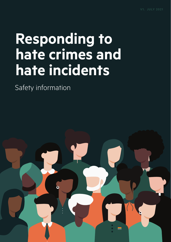# **Responding to hate crimes and hate incidents**

Safety information

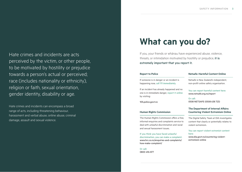Hate crimes and incidents are acts perceived by the victim, or other people, to be motivated by hostility or prejudice towards a person's actual or perceived; race (includes nationality or ethnicity), religion or faith, sexual orientation, gender identity, disability or age.

Hate crimes and incidents can encompass a broad range of acts, including threatening behaviour, harassment and verbal abuse, online abuse, criminal damage, assault and sexual violence.

## **What can you do?**

If you, your friends or whānau have experienced abuse, violence, threats, or intimidation motivated by hostility or prejudice, it is extremely important that you report it.

#### **Report to Police**

#### If someone is in danger or an incident is happening now, call 111 immediately.

If an incident has already happened and no one is in immediate danger, report it online by visiting:

[105.police.govt.nz](https://www.police.govt.nz/use-105)

#### **Human Rights Commission**

The Human Rights Commission offers a free, informal enquiries and complaints service to deal with unlawful discrimination and racial and sexual harassment issues.

If you think you have faced unlawful discrimination, you can make a complaint: [www.hrc.co.nz/enquiries-and-complaints/](https://www.hrc.co.nz/enquiries-and-complaints/how-make-complaint/) [how-make-complaint/](https://www.hrc.co.nz/enquiries-and-complaints/how-make-complaint/)

Or call: 0800 496 877

#### **Netsafe: Harmful Content Online**

Netsafe is New Zealand's independent, non-profit online safety organisation.

You can report harmful content here: [www.netsafe.org.nz/repor](https://report.netsafe.org.nz/hc/en-au/requests/new)t

Or call: 0508 NETSAFE (0508 638 723)

#### **The Department of Internal Affairs: Countering Violent Extremism Online**

The Digital Safety Team at DIA investigates content that clearly or potentially relates to violent extremism.

You can report violent extremist content here: [www.dia.govt.nz/countering-violent](https://www.dia.govt.nz/countering-violent-extremism-online)[extremism-online](https://www.dia.govt.nz/countering-violent-extremism-online)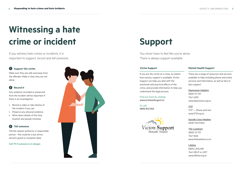# **Witnessing a hate crime or incident**

If you witness hate crimes or incidents, it is important to support, record and tell someone.

### **1 Support the victim**

Make sure they are safe and away from the offender. Make it clear they are not alone.

## **2 Record it**

Any evidence recorded or preserved from the incident will be important if there is an investigation.

- Record a video or take photos of the incident if you can.
- Preserve any physical evidence.
- Write down details of the time, location and people involved.

### **3 Tell someone**

Tell the nearest authority or responsible person - this could be a bus driver, security guard or reception desk.

#### **Call 111 if someone is in danger.**



## **Support**

You never have to feel like you're alone. There is always support available.

#### **Victim Support**

If you are the victim of a crime, no matter how serious, support is available. Victim Support can help you deal with the emotional and practical effects of the crime, and provide information to help you understand the legal process.

Find out more by visiting: [www.victimsinfo.govt.nz](https://victimsinfo.govt.nz/)

Or call: 0800 842 846



#### **Mental Health Support**

There are a range of resources and services available to help including phone and online services and information, as well as face to face support.

Depression Helpline 0800 111 757 Text 4202 [www.depression.org.nz](https://www.depression.org.nz/) 

1737 1737 — Phone and text [www.1737.org.nz](https://1737.org.nz/)

Suicide Crisis Helpline 0508 TAUTOKO

The Lowdown 0800 111 757 Text 5626 [www.thelowdown.co.nz](https://www.thelowdown.co.nz/)

Lifeline 0800 LIFELINE Text HELP or 4357 [www.lifeline.org.nz](https://www.lifeline.org.nz/)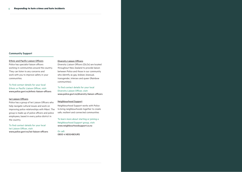#### **Community Support**

#### Ethnic and Pacific Liaison Officers

Police has specialist liaison officers working in communities around the country. They can listen to any concerns and work with you to improve safety in your communities.

To find contact details for your local Ethnic or Pacific Liaison Officer, visit: [www.police.govt.nz/ethnic-liaison-officers](https://www.police.govt.nz/advice/personal-community/new-arrivals/ethnic-liaison-officers)

#### Iwi Liaison Officers

Police has a group of Iwi Liaison Officers who help navigate cultural issues and work on improving police relationships with Māori. The group is made up of police officers and police employees, based in every police district in the country.

To find contact details for your local Iwi Liaison Officer, visit: [www.police.govt.nz/iwi-liaison-officers](https://www.police.govt.nz/about-us/maori-police/iwi-liaison-officers)

#### Diversity Liaison Officers

Diversity Liaison Officers (DLOs) are located throughout New Zealand to provide liaison between Police and those in our community who identify as gay, lesbian, bisexual, transgender, intersex and queer (Rainbow communities).

To find contact details for your local Diversity Liaison Officer, visit: [www.police.govt.nz/diversity-liaison-officers](https://www.police.govt.nz/contact-us/local-contacts/diversity-liaison-officers)

#### Neighbourhood Support

Neighbourhood Support works with Police to bring neighbourhoods together to create safe, resilient and connected communities

To learn more about starting or joining a Neighbourhood Support group, visit: www.neighbourhoodsupport.co.nz

Or call: 0800 4 NEIGHBOURS